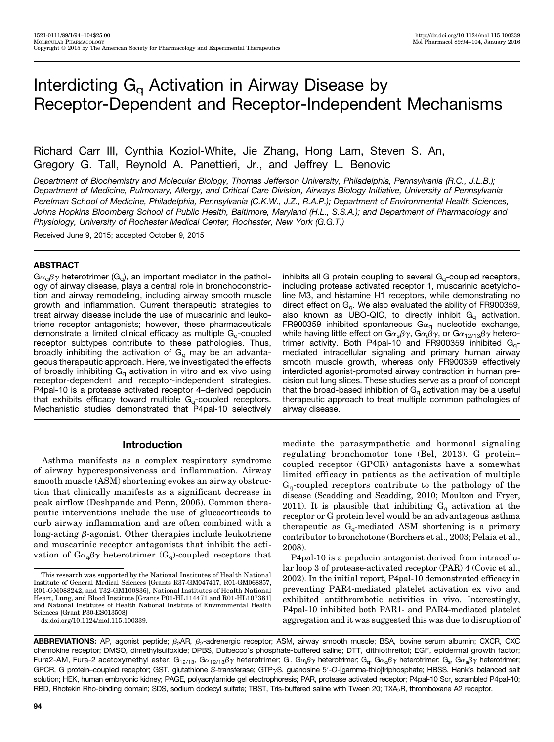# Interdicting  $G_q$  Activation in Airway Disease by Receptor-Dependent and Receptor-Independent Mechanisms

# Richard Carr III, Cynthia Koziol-White, Jie Zhang, Hong Lam, Steven S. An, Gregory G. Tall, Reynold A. Panettieri, Jr., and Jeffrey L. Benovic

Department of Biochemistry and Molecular Biology, Thomas Jefferson University, Philadelphia, Pennsylvania (R.C., J.L.B.); Department of Medicine, Pulmonary, Allergy, and Critical Care Division, Airways Biology Initiative, University of Pennsylvania Perelman School of Medicine, Philadelphia, Pennsylvania (C.K.W., J.Z., R.A.P.); Department of Environmental Health Sciences, Johns Hopkins Bloomberg School of Public Health, Baltimore, Maryland (H.L., S.S.A.); and Department of Pharmacology and Physiology, University of Rochester Medical Center, Rochester, New York (G.G.T.)

Received June 9, 2015; accepted October 9, 2015

### **ABSTRACT**

 $G\alpha_{q}\beta\gamma$  heterotrimer (G<sub>q</sub>), an important mediator in the pathology of airway disease, plays a central role in bronchoconstriction and airway remodeling, including airway smooth muscle growth and inflammation. Current therapeutic strategies to treat airway disease include the use of muscarinic and leukotriene receptor antagonists; however, these pharmaceuticals demonstrate a limited clinical efficacy as multiple  $G_q$ -coupled receptor subtypes contribute to these pathologies. Thus, broadly inhibiting the activation of  $G<sub>q</sub>$  may be an advantageous therapeutic approach. Here, we investigated the effects of broadly inhibiting  $G_q$  activation in vitro and ex vivo using receptor-dependent and receptor-independent strategies. P4pal-10 is a protease activated receptor 4–derived pepducin that exhibits efficacy toward multiple  $G_{\alpha}$ -coupled receptors. Mechanistic studies demonstrated that P4pal-10 selectively

# Introduction

Asthma manifests as a complex respiratory syndrome of airway hyperesponsiveness and inflammation. Airway smooth muscle (ASM) shortening evokes an airway obstruction that clinically manifests as a significant decrease in peak airflow (Deshpande and Penn, 2006). Common therapeutic interventions include the use of glucocorticoids to curb airway inflammation and are often combined with a long-acting  $\beta$ -agonist. Other therapies include leukotriene and muscarinic receptor antagonists that inhibit the activation of  $G_{\alpha_0} \beta \gamma$  heterotrimer  $(G_q)$ -coupled receptors that

[dx.doi.org/10.1124/mol.115.100339](http://dx.doi.org/10.1124/mol.115.100339).

inhibits all G protein coupling to several  $G_q$ -coupled receptors, including protease activated receptor 1, muscarinic acetylcholine M3, and histamine H1 receptors, while demonstrating no direct effect on  $G_q$ . We also evaluated the ability of FR900359, also known as UBO-QIC, to directly inhibit  $G_q$  activation. FR900359 inhibited spontaneous G $\alpha_{q}$  nucleotide exchange, while having little effect on G $\alpha_{\rm s}\beta\gamma$ , G $\alpha_{\rm i}\beta\gamma$ , or G $\alpha_{12/13}\beta\gamma$  hetero-<br>trimer, activity... Both...P4pal-10, and...FB900359, inhibited...G trimer activity. Both P4pal-10 and FR900359 inhibited  $G_{q}$ mediated intracellular signaling and primary human airway smooth muscle growth, whereas only FR900359 effectively interdicted agonist-promoted airway contraction in human precision cut lung slices. These studies serve as a proof of concept that the broad-based inhibition of  $G<sub>q</sub>$  activation may be a useful therapeutic approach to treat multiple common pathologies of airway disease.

mediate the parasympathetic and hormonal signaling regulating bronchomotor tone (Bel, 2013). G protein– coupled receptor (GPCR) antagonists have a somewhat limited efficacy in patients as the activation of multiple  $G_q$ -coupled receptors contribute to the pathology of the disease (Scadding and Scadding, 2010; Moulton and Fryer, 2011). It is plausible that inhibiting  $G_q$  activation at the receptor or G protein level would be an advantageous asthma therapeutic as  $G_q$ -mediated ASM shortening is a primary contributor to bronchotone (Borchers et al., 2003; Pelaia et al., 2008).

P4pal-10 is a pepducin antagonist derived from intracellular loop 3 of protease-activated receptor (PAR) 4 (Covic et al., 2002). In the initial report, P4pal-10 demonstrated efficacy in preventing PAR4-mediated platelet activation ex vivo and exhibited antithrombotic activities in vivo. Interestingly, P4pal-10 inhibited both PAR1- and PAR4-mediated platelet aggregation and it was suggested this was due to disruption of

ABBREVIATIONS: AP, agonist peptide;  $\beta_2$ AR,  $\beta_2$ -adrenergic receptor; ASM, airway smooth muscle; BSA, bovine serum albumin; CXCR, CXC chemokine receptor; DMSO, dimethylsulfoxide; DPBS, Dulbecco's phosphate-buffered saline; DTT, dithiothreitol; EGF, epidermal growth factor; Fura2-AM, Fura-2 acetoxymethyl ester; G<sub>12/13</sub>, Gα<sub>12/13</sub>βγ heterotrimer; G<sub>i</sub>, Gαβγ heterotrimer; G<sub>g</sub>, Gα<sub>g</sub>βγ heterotrimer; G<sub>s</sub>, Gα<sub>s</sub>βγ heterotrimer;<br>GPCB G protein-coupled receptor: GST, alutathione S-transferese: GPCR, G protein-coupled receptor; GST, glutathione S-transferase; GTP<sub>Y</sub>S, guanosine 5'-O-[gamma-thio]triphosphate; HBSS, Hank's balanced salt solution; HEK, human embryonic kidney; PAGE, polyacrylamide gel electrophoresis; PAR, protease activated receptor; P4pal-10 Scr, scrambled P4pal-10; RBD, Rhotekin Rho-binding domain; SDS, sodium dodecyl sulfate; TBST, Tris-buffered saline with Tween 20; TXA<sub>2</sub>R, thromboxane A2 receptor.

This research was supported by the National Institutes of Health National Institute of General Medical Sciences [Grants R37-GM047417, R01-GM068857, R01-GM088242, and T32-GM100836], National Institutes of Health National Heart, Lung, and Blood Institute [Grants P01-HL114471 and R01-HL107361] and National Institutes of Health National Institute of Environmental Health Sciences [Grant P30-ES013508].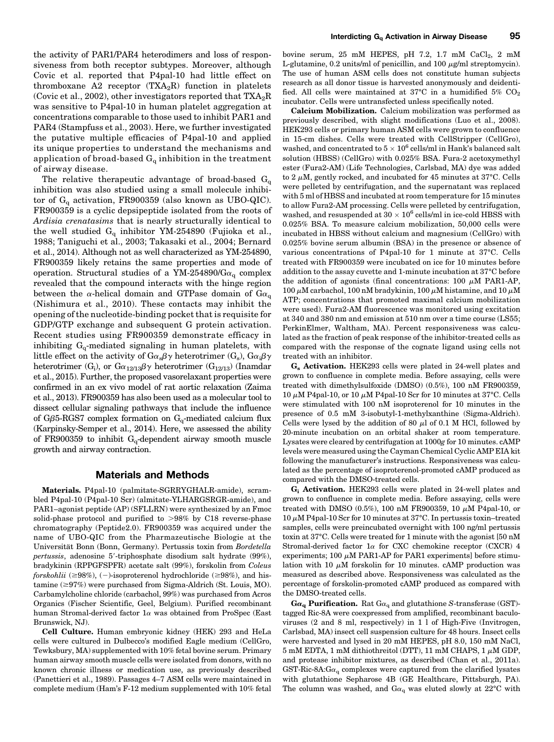the activity of PAR1/PAR4 heterodimers and loss of responsiveness from both receptor subtypes. Moreover, although Covic et al. reported that P4pal-10 had little effect on thromboxane A2 receptor  $(TXA_2R)$  function in platelets (Covic et al., 2002), other investigators reported that  $TXA_2R$ was sensitive to P4pal-10 in human platelet aggregation at concentrations comparable to those used to inhibit PAR1 and PAR4 (Stampfuss et al., 2003). Here, we further investigated the putative multiple efficacies of P4pal-10 and applied its unique properties to understand the mechanisms and application of broad-based  $G_q$  inhibition in the treatment of airway disease.

The relative therapeutic advantage of broad-based  $G_q$ inhibition was also studied using a small molecule inhibitor of  $G_q$  activation, FR900359 (also known as UBO-QIC). FR900359 is a cyclic depsipeptide isolated from the roots of Ardisia crenatasims that is nearly structurally identical to the well studied  $G_q$  inhibitor YM-254890 (Fujioka et al., 1988; Taniguchi et al., 2003; Takasaki et al., 2004; Bernard et al., 2014). Although not as well characterized as YM-254890, FR900359 likely retains the same properties and mode of operation. Structural studies of a YM-254890/G $\alpha_{\alpha}$  complex revealed that the compound interacts with the hinge region between the  $\alpha$ -helical domain and GTPase domain of G $\alpha_{\alpha}$ (Nishimura et al., 2010). These contacts may inhibit the opening of the nucleotide-binding pocket that is requisite for GDP/GTP exchange and subsequent G protein activation. Recent studies using FR900359 demonstrate efficacy in inhibiting  $G_q$ -mediated signaling in human platelets, with little effect on the activity of  $G_{\alpha_{s}}\beta_{\gamma}$  heterotrimer  $(G_{s})$ ,  $G_{\alpha_{i}}\beta_{\gamma}$ heterotrimer (G<sub>i</sub>), or  $G_{\alpha_{12/13}\beta\gamma}$  heterotrimer (G<sub>12/13</sub>) (Inamdar et al., 2015). Further, the proposed vasorelaxant properties were confirmed in an ex vivo model of rat aortic relaxation (Zaima et al., 2013). FR900359 has also been used as a molecular tool to dissect cellular signaling pathways that include the influence of G $\beta$ 5-RGS7 complex formation on G<sub>q</sub>-mediated calcium flux (Karpinsky-Semper et al., 2014). Here, we assessed the ability of FR900359 to inhibit  $G_q$ -dependent airway smooth muscle growth and airway contraction.

#### Materials and Methods

Materials. P4pal-10 (palmitate-SGRRYGHALR-amide), scrambled P4pal-10 (P4pal-10 Scr) (almitate-YLHARGSRGR-amide), and PAR1–agonist peptide (AP) (SFLLRN) were synthesized by an Fmoc solid-phase protocol and purified to  $>98\%$  by C18 reverse-phase chromatography (Peptide2.0). FR900359 was acquired under the name of UBO-QIC from the Pharmazeutische Biologie at the Universität Bonn (Bonn, Germany). Pertussis toxin from Bordetella  $pertussis$ , adenosine 5'-triphosphate disodium salt hydrate (99%), bradykinin (RPPGFSPFR) acetate salt (99%), forskolin from Coleus forskohlii ( $\geq$ 98%), (-)-isoproterenol hydrochloride ( $\geq$ 98%), and his $t$ amine ( $\geq$ 97%) were purchased from Sigma-Aldrich (St. Louis, MO). Carbamylcholine chloride (carbachol, 99%) was purchased from Acros Organics (Fischer Scientific, Geel, Belgium). Purified recombinant human Stromal-derived factor  $1\alpha$  was obtained from ProSpec (East Brunswick, NJ).

Cell Culture. Human embryonic kidney (HEK) 293 and HeLa cells were cultured in Dulbecco's modified Eagle medium (CellGro, Tewksbury, MA) supplemented with 10% fetal bovine serum. Primary human airway smooth muscle cells were isolated from donors, with no known chronic illness or medication use, as previously described (Panettieri et al., 1989). Passages 4–7 ASM cells were maintained in complete medium (Ham's F-12 medium supplemented with 10% fetal

Calcium Mobilization. Calcium mobilization was performed as previously described, with slight modifications (Luo et al., 2008). HEK293 cells or primary human ASM cells were grown to confluence in 15-cm dishes. Cells were treated with CellStripper (CellGro), washed, and concentrated to  $5 \times 10^6$  cells/ml in Hank's balanced salt solution (HBSS) (CellGro) with 0.025% BSA. Fura-2 acetoxymethyl ester (Fura2-AM) (Life Technologies, Carlsbad, MA) dye was added to 2  $\mu$ M, gently rocked, and incubated for 45 minutes at 37 $^{\circ}$ C. Cells were pelleted by centrifugation, and the supernatant was replaced with 5 ml of HBSS and incubated at room temperature for 15 minutes to allow Fura2-AM processing. Cells were pelleted by centrifugation, washed, and resuspended at  $30 \times 10^6$  cells/ml in ice-cold HBSS with 0.025% BSA. To measure calcium mobilization, 50,000 cells were incubated in HBSS without calcium and magnesium (CellGro) with 0.025% bovine serum albumin (BSA) in the presence or absence of various concentrations of P4pal-10 for 1 minute at 37°C. Cells treated with FR900359 were incubated on ice for 10 minutes before addition to the assay cuvette and 1-minute incubation at 37°C before the addition of agonists (final concentrations:  $100 \mu M$  PAR1-AP, 100  $\mu$ M carbachol, 100 nM bradykinin, 100  $\mu$ M histamine, and 10  $\mu$ M ATP; concentrations that promoted maximal calcium mobilization were used). Fura2-AM fluorescence was monitored using excitation at 340 and 380 nm and emission at 510 nm over a time course (LS55; PerkinElmer, Waltham, MA). Percent responsiveness was calculated as the fraction of peak response of the inhibitor-treated cells as compared with the response of the cognate ligand using cells not treated with an inhibitor.

Gs Activation. HEK293 cells were plated in 24-well plates and grown to confluence in complete media. Before assaying, cells were treated with dimethylsulfoxide (DMSO) (0.5%), 100 nM FR900359, 10  $\mu$ M P4pal-10, or 10  $\mu$ M P4pal-10 Scr for 10 minutes at 37°C. Cells were stimulated with 100 nM isoproterenol for 10 minutes in the presence of 0.5 mM 3-isobutyl-1-methylxanthine (Sigma-Aldrich). Cells were lysed by the addition of 80  $\mu$ l of 0.1 M HCl, followed by 20-minute incubation on an orbital shaker at room temperature. Lysates were cleared by centrifugation at 1000g for 10 minutes. cAMP levels were measured using the Cayman Chemical Cyclic AMP EIA kit following the manufacturer's instructions. Responsiveness was calculated as the percentage of isoproterenol-promoted cAMP produced as compared with the DMSO-treated cells.

Gi Activation. HEK293 cells were plated in 24-well plates and grown to confluence in complete media. Before assaying, cells were treated with DMSO (0.5%), 100 nM FR900359, 10  $\mu$ M P4pal-10, or  $10 \mu$ M P4pal-10 Scr for 10 minutes at 37°C. In pertussis toxin–treated samples, cells were preincubated overnight with 100 ng/ml pertussis toxin at 37°C. Cells were treated for 1 minute with the agonist [50 nM Stromal-derived factor  $1\alpha$  for CXC chemokine receptor (CXCR) 4 experiments; 100  $\mu$ M PAR1-AP for PAR1 experiments] before stimulation with 10  $\mu$ M forskolin for 10 minutes. cAMP production was measured as described above. Responsiveness was calculated as the percentage of forskolin-promoted cAMP produced as compared with the DMSO-treated cells.

 $\mathbf{G}\alpha_\mathbf{q}$  Purification. Rat  $\mathrm{G}\alpha_\mathbf{q}$  and glutathione  $S\text{-transferase}\left(\mathrm{GST}\right)$ tagged Ric-8A were coexpressed from amplified, recombinant baculoviruses (2 and 8 ml, respectively) in 1 l of High-Five (Invitrogen, Carlsbad, MA) insect cell suspension culture for 48 hours. Insect cells were harvested and lysed in 20 mM HEPES, pH 8.0, 150 mM NaCl,  $5 \text{ mM EDTA}$ , 1 mM dithiothreitol (DTT), 11 mM CHAPS, 1  $\mu$ M GDP, and protease inhibitor mixtures, as described (Chan et al., 2011a). GST-Ric-8A: $Ga_{q}$  complexes were captured from the clarified lysates with glutathione Sepharose 4B (GE Healthcare, Pittsburgh, PA). The column was washed, and  $Ga<sub>q</sub>$  was eluted slowly at 22°C with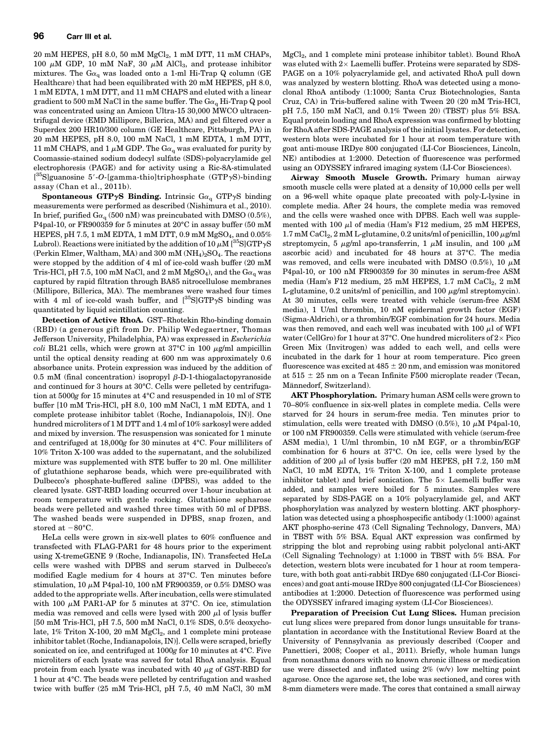$20 \text{ mM HEPES, pH } 8.0, 50 \text{ mM } \text{MgCl}_2, 1 \text{ mM DTT, } 11 \text{ mM } \text{CHAPs},$ 100  $\mu$ M GDP, 10 mM NaF, 30  $\mu$ M AlCl<sub>3</sub>, and protease inhibitor mixtures. The G $\alpha_q$  was loaded onto a 1-ml Hi-Trap Q column (GE Healthcare) that had been equilibrated with 20 mM HEPES, pH 8.0, 1 mM EDTA, 1 mM DTT, and 11 mM CHAPS and eluted with a linear gradient to 500 mM NaCl in the same buffer. The  $Ga<sub>\alpha</sub>$  Hi-Trap Q pool was concentrated using an Amicon Ultra-15 30,000 MWCO ultracentrifugal device (EMD Millipore, Billerica, MA) and gel filtered over a Superdex 200 HR10/300 column (GE Healthcare, Pittsburgh, PA) in 20 mM HEPES, pH 8.0, 100 mM NaCl, 1 mM EDTA, 1 mM DTT, 11 mM CHAPS, and 1  $\mu$ M GDP. The G $\alpha_q$  was evaluated for purity by Coomassie-stained sodium dodecyl sulfate (SDS)-polyacrylamide gel electrophoresis (PAGE) and for activity using a Ric-8A-stimulated  $[{}^{35}S]$ guanosine 5'-O-[gamma-thio]triphosphate (GTP $\gamma S$ )-binding assay (Chan et al., 2011b).

Spontaneous GTP $\gamma$ S Binding. Intrinsic G $\alpha_{\alpha}$  GTP $\gamma$ S binding measurements were performed as described (Nishimura et al., 2010). In brief, purified  $Ga_q$  (500 nM) was preincubated with DMSO (0.5%), P4pal-10, or FR900359 for 5 minutes at 20°C in assay buffer (50 mM HEPES, pH 7.5, 1 mM EDTA, 1 mM DTT, 0.9 mM  $MgSO<sub>4</sub>$ , and 0.05% Lubrol). Reactions were initiated by the addition of 10  $\mu$ M [<sup>35</sup>S]GTP $\gamma$ S (Perkin Elmer, Waltham, MA) and 300 mM  $(NH_4)_2SO_4$ . The reactions were stopped by the addition of 4 ml of ice-cold wash buffer (20 mM Tris-HCl, pH 7.5, 100 mM NaCl, and 2 mM MgSO<sub>4</sub>), and the  $Ga<sub>0</sub>$  was captured by rapid filtration through BA85 nitrocellulose membranes (Millipore, Billerica, MA). The membranes were washed four times with 4 ml of ice-cold wash buffer, and  $[^{35}\text{S}] \text{GTP}\gamma \text{S}$  binding was quantitated by liquid scintillation counting.

Detection of Active RhoA. GST–Rhotekin Rho-binding domain (RBD) (a generous gift from Dr. Philip Wedegaertner, Thomas Jefferson University, Philadelphia, PA) was expressed in Escherichia coli BL21 cells, which were grown at  $37^{\circ}$ C in 100  $\mu$ g/ml ampicillin until the optical density reading at 600 nm was approximately 0.6 absorbance units. Protein expression was induced by the addition of 0.5 mM (final concentration) isopropyl  $\beta$ -D-1-thiogalactopyranoside and continued for 3 hours at 30°C. Cells were pelleted by centrifugation at 5000g for 15 minutes at 4°C and resuspended in 10 ml of STE buffer [10 mM Tris-HCl, pH 8.0, 100 mM NaCl, 1 mM EDTA, and 1 complete protease inhibitor tablet (Roche, Indianapolois, IN)]. One hundred microliters of 1 M DTT and 1.4 ml of 10% sarkosyl were added and mixed by inversion. The resuspension was sonicated for 1 minute and centrifuged at 18,000g for 30 minutes at 4°C. Four milliliters of 10% Triton X-100 was added to the supernatant, and the solubilized mixture was supplemented with STE buffer to 20 ml. One milliliter of glutathione sepharose beads, which were pre-equilibrated with Dulbecco's phosphate-buffered saline (DPBS), was added to the cleared lysate. GST-RBD loading occurred over 1-hour incubation at room temperature with gentle rocking. Glutathione sepharose beads were pelleted and washed three times with 50 ml of DPBS. The washed beads were suspended in DPBS, snap frozen, and stored at  $-80^{\circ}$ C.

HeLa cells were grown in six-well plates to 60% confluence and transfected with FLAG-PAR1 for 48 hours prior to the experiment using X-tremeGENE 9 (Roche, Indianapolis, IN). Transfected HeLa cells were washed with DPBS and serum starved in Dulbecco's modified Eagle medium for 4 hours at 37°C. Ten minutes before stimulation, 10  $\mu$ M P4pal-10, 100 nM FR900359, or 0.5% DMSO was added to the appropriate wells. After incubation, cells were stimulated with 100  $\mu$ M PAR1-AP for 5 minutes at 37°C. On ice, stimulation media was removed and cells were lysed with 200  $\mu$ l of lysis buffer [50 mM Tris-HCl, pH 7.5, 500 mM NaCl, 0.1% SDS, 0.5% deoxycholate,  $1\%$  Triton X-100, 20 mM MgCl<sub>2</sub>, and 1 complete mini protease inhibitor tablet (Roche, Indianapolois, IN)]. Cells were scraped, briefly sonicated on ice, and centrifuged at 1000g for 10 minutes at 4°C. Five microliters of each lysate was saved for total RhoA analysis. Equal protein from each lysate was incubated with 40  $\mu$ g of GST-RBD for 1 hour at 4°C. The beads were pelleted by centrifugation and washed twice with buffer (25 mM Tris-HCl, pH 7.5, 40 mM NaCl, 30 mM

MgCl2, and 1 complete mini protease inhibitor tablet). Bound RhoA was eluted with  $2 \times$  Laemelli buffer. Proteins were separated by SDS-PAGE on a 10% polyacrylamide gel, and activated RhoA pull down was analyzed by western blotting. RhoA was detected using a monoclonal RhoA antibody (1:1000; Santa Cruz Biotechnologies, Santa Cruz, CA) in Tris-buffered saline with Tween 20 (20 mM Tris-HCl, pH 7.5, 150 mM NaCl, and 0.1% Tween 20) (TBST) plus 5% BSA. Equal protein loading and RhoA expression was confirmed by blotting for RhoA after SDS-PAGE analysis of the initial lysates. For detection, western blots were incubated for 1 hour at room temperature with goat anti-mouse IRDye 800 conjugated (LI-Cor Biosciences, Lincoln, NE) antibodies at 1:2000. Detection of fluorescence was performed using an ODYSSEY infrared imaging system (LI-Cor Biosciences).

Airway Smooth Muscle Growth. Primary human airway smooth muscle cells were plated at a density of 10,000 cells per well on a 96-well white opaque plate precoated with poly-L-lysine in complete media. After 24 hours, the complete media was removed and the cells were washed once with DPBS. Each well was supplemented with 100  $\mu$ l of media (Ham's F12 medium, 25 mM HEPES,  $1.7 \text{ mM CaCl}_2$ ,  $2 \text{ mM L-glutamine}$ ,  $0.2 \text{ units/ml of penicillin}$ ,  $100 \mu\text{g/ml}$ streptomycin, 5  $\mu$ g/ml apo-transferrin, 1  $\mu$ M insulin, and 100  $\mu$ M ascorbic acid) and incubated for 48 hours at 37°C. The media was removed, and cells were incubated with DMSO (0.5%), 10  $\mu$ M P4pal-10, or 100 nM FR900359 for 30 minutes in serum-free ASM media (Ham's F12 medium, 25 mM HEPES, 1.7 mM CaCl<sub>2</sub>, 2 mM L-glutamine, 0.2 units/ml of penicillin, and 100  $\mu$ g/ml streptomycin). At 30 minutes, cells were treated with vehicle (serum-free ASM media), 1 U/ml thrombin, 10 nM epidermal growth factor (EGF) (Sigma-Aldrich), or a thrombin/EGF combination for 24 hours. Media was then removed, and each well was incubated with 100  $\mu$ l of WFI water (CellGro) for 1 hour at 37°C. One hundred microliters of  $2 \times$  Pico Green Mix (Invitrogen) was added to each well, and cells were incubated in the dark for 1 hour at room temperature. Pico green fluorescence was excited at  $485 \pm 20$  nm, and emission was monitored at  $515 \pm 25$  nm on a Tecan Infinite F500 microplate reader (Tecan, Männedorf, Switzerland).

AKT Phosphorylation. Primary human ASM cells were grown to 70–80% confluence in six-well plates in complete media. Cells were starved for 24 hours in serum-free media. Ten minutes prior to stimulation, cells were treated with DMSO (0.5%), 10  $\mu$ M P4pal-10, or 100 nM FR900359. Cells were stimulated with vehicle (serum-free ASM media), 1 U/ml thrombin, 10 nM EGF, or a thrombin/EGF combination for 6 hours at 37°C. On ice, cells were lysed by the addition of 200  $\mu$ l of lysis buffer (20 mM HEPES, pH 7.2, 150 mM NaCl, 10 mM EDTA, 1% Triton X-100, and 1 complete protease inhibitor tablet) and brief sonication. The  $5\times$  Laemelli buffer was added, and samples were boiled for 5 minutes. Samples were separated by SDS-PAGE on a 10% polyacrylamide gel, and AKT phosphorylation was analyzed by western blotting. AKT phosphorylation was detected using a phosphospecific antibody (1:1000) against AKT phospho-serine 473 (Cell Signaling Technology, Danvers, MA) in TBST with 5% BSA. Equal AKT expression was confirmed by stripping the blot and reprobing using rabbit polyclonal anti-AKT (Cell Signaling Technology) at 1:1000 in TBST with 5% BSA. For detection, western blots were incubated for 1 hour at room temperature, with both goat anti-rabbit IRDye 680 conjugated (LI-Cor Biosciences) and goat anti-mouse IRDye 800 conjugated (LI-Cor Biosciences) antibodies at 1:2000. Detection of fluorescence was performed using the ODYSSEY infrared imaging system (LI-Cor Biosciences).

Preparation of Precision Cut Lung Slices. Human precision cut lung slices were prepared from donor lungs unsuitable for transplantation in accordance with the Institutional Review Board at the University of Pennsylvania as previously described (Cooper and Panettieri, 2008; Cooper et al., 2011). Briefly, whole human lungs from nonasthma donors with no known chronic illness or medication use were dissected and inflated using 2% (w/v) low melting point agarose. Once the agarose set, the lobe was sectioned, and cores with 8-mm diameters were made. The cores that contained a small airway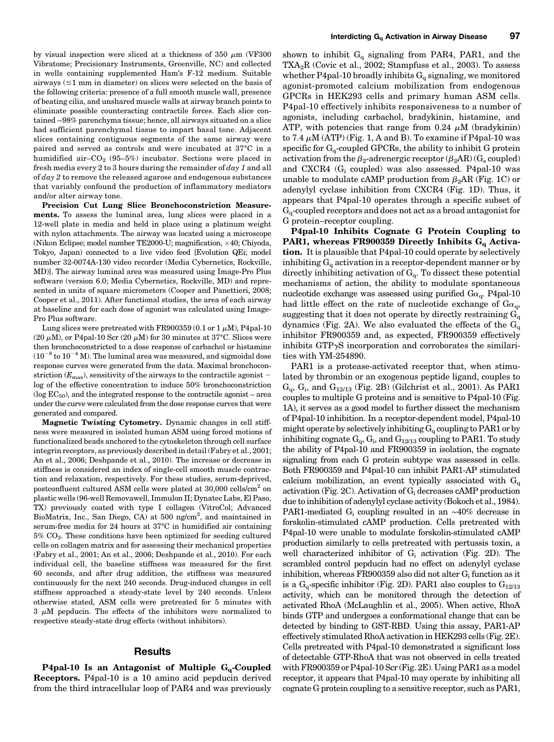by visual inspection were sliced at a thickness of 350  $\mu$ m (VF300) Vibratome; Precisionary Instruments, Greenville, NC) and collected in wells containing supplemented Ham's F-12 medium. Suitable airways  $(\leq 1$  mm in diameter) on slices were selected on the basis of the following criteria: presence of a full smooth muscle wall, presence of beating cilia, and unshared muscle walls at airway branch points to eliminate possible counteracting contractile forces. Each slice contained ∼98% parenchyma tissue; hence, all airways situated on a slice had sufficient parenchymal tissue to impart basal tone. Adjacent slices containing contiguous segments of the same airway were paired and served as controls and were incubated at 37°C in a humidified air– $CO<sub>2</sub>$  (95–5%) incubator. Sections were placed in fresh media every 2 to 3 hours during the remainder of  $day 1$  and all of  $day$  2 to remove the released agarose and endogenous substances that variably confound the production of inflammatory mediators and/or alter airway tone.

Precision Cut Lung Slice Bronchoconstriction Measurements. To assess the luminal area, lung slices were placed in a 12-well plate in media and held in place using a platinum weight with nylon attachments. The airway was located using a microscope (Nikon Eclipse; model number TE2000-U; magnification,  $\times$ 40; Chiyoda, Tokyo, Japan) connected to a live video feed [Evolution QEi; model number 32-0074A-130 video recorder (Media Cybernetics, Rockville, MD)]. The airway luminal area was measured using Image-Pro Plus software (version 6.0; Media Cybernetics, Rockville, MD) and represented in units of square micrometers (Cooper and Panettieri, 2008; Cooper et al., 2011). After functional studies, the area of each airway at baseline and for each dose of agonist was calculated using Image-Pro Plus software.

Lung slices were pretreated with FR900359 (0.1 or 1  $\mu$ M), P4pal-10 (20  $\mu$ M), or P4pal-10 Scr (20  $\mu$ M) for 30 minutes at 37°C. Slices were then bronchoconstricted to a dose response of carbachol or histamine  $(10^{-8}$  to  $10^{-4}$  M). The luminal area was measured, and sigmoidal dose response curves were generated from the data. Maximal bronchoconstriction ( $E_{\text{max}}$ ), sensitivity of the airways to the contractile agonist log of the effective concentration to induce 50% bronchoconstriction  $(\log EC_{50})$ , and the integrated response to the contractile agonist – area under the curve were calculated from the dose response curves that were generated and compared.

Magnetic Twisting Cytometry. Dynamic changes in cell stiffness were measured in isolated human ASM using forced motions of functionalized beads anchored to the cytoskeleton through cell surface integrin receptors, as previously described in detail (Fabry et al., 2001; An et al., 2006; Deshpande et al., 2010). The increase or decrease in stiffness is considered an index of single-cell smooth muscle contraction and relaxation, respectively. For these studies, serum-deprived, postconfluent cultured ASM cells were plated at 30,000 cells/cm<sup>2</sup> on plastic wells (96-well Removawell, Immulon II; Dynatec Labs, El Paso, TX) previously coated with type I collagen (VitroCol; Advanced BioMatrix, Inc., San Diego, CA) at 500 ng/cm<sup>2</sup>, and maintained in serum-free media for 24 hours at 37°C in humidified air containing 5% CO2. These conditions have been optimized for seeding cultured cells on collagen matrix and for assessing their mechanical properties (Fabry et al., 2001; An et al., 2006; Deshpande et al., 2010). For each individual cell, the baseline stiffness was measured for the first 60 seconds, and after drug addition, the stiffness was measured continuously for the next 240 seconds. Drug-induced changes in cell stiffness approached a steady-state level by 240 seconds. Unless otherwise stated, ASM cells were pretreated for 5 minutes with  $3 \mu$ M pepducin. The effects of the inhibitors were normalized to respective steady-state drug effects (without inhibitors).

### **Results**

P4pal-10 Is an Antagonist of Multiple  $G_q$ -Coupled Receptors. P4pal-10 is a 10 amino acid pepducin derived from the third intracellular loop of PAR4 and was previously shown to inhibit  $G_q$  signaling from PAR4, PAR1, and the TXA<sub>2</sub>R (Covic et al., 2002; Stampfuss et al., 2003). To assess whether P4pal-10 broadly inhibits  $G_q$  signaling, we monitored agonist-promoted calcium mobilization from endogenous GPCRs in HEK293 cells and primary human ASM cells. P4pal-10 effectively inhibits responsiveness to a number of agonists, including carbachol, bradykinin, histamine, and ATP, with potencies that range from 0.24  $\mu$ M (bradykinin) to 7.4  $\mu$ M (ATP) (Fig. 1, A and B). To examine if P4pal-10 was specific for  $G_0$ -coupled GPCRs, the ability to inhibit G protein activation from the  $\beta_2$ -adrenergic receptor  $(\beta_2AR)(G_s$  coupled) and CXCR4  $(G_i \text{ coupled})$  was also assessed. P4pal-10 was unable to modulate cAMP production from  $\beta_2$ AR (Fig. 1C) or adenylyl cyclase inhibition from CXCR4 (Fig. 1D). Thus, it appears that P4pal-10 operates through a specific subset of  $G<sub>q</sub>$ -coupled receptors and does not act as a broad antagonist for G protein–receptor coupling.

P4pal-10 Inhibits Cognate G Protein Coupling to PAR1, whereas FR900359 Directly Inhibits  $G_{\alpha}$  Activation. It is plausible that P4pal-10 could operate by selectively inhibiting  $G_q$  activation in a receptor-dependent manner or by directly inhibiting activation of  $G_q$ . To dissect these potential mechanisms of action, the ability to modulate spontaneous nucleotide exchange was assessed using purified  $Ga_{\alpha}$ . P4pal-10 had little effect on the rate of nucleotide exchange of  $Ga_q$ , suggesting that it does not operate by directly restraining  $G_q$ dynamics (Fig. 2A). We also evaluated the effects of the  $G_q$ inhibitor FR900359 and, as expected, FR900359 effectively inhibits  $GTP\gamma S$  incorporation and corroborates the similarities with YM-254890.

PAR1 is a protease-activated receptor that, when stimulated by thrombin or an exogenous peptide ligand, couples to  $G_q$ ,  $G_i$ , and  $G_{12/13}$  (Fig. 2B) (Gilchrist et al., 2001). As PAR1 couples to multiple G proteins and is sensitive to P4pal-10 (Fig. 1A), it serves as a good model to further dissect the mechanism of P4pal-10 inhibition. In a receptor-dependent model, P4pal-10 might operate by selectively inhibiting  $G_q$  coupling to PAR1 or by inhibiting cognate  $G_q$ ,  $G_i$ , and  $G_{12/13}$  coupling to PAR1. To study the ability of P4pal-10 and FR900359 in isolation, the cognate signaling from each G protein subtype was assessed in cells. Both FR900359 and P4pal-10 can inhibit PAR1-AP stimulated calcium mobilization, an event typically associated with  $G_q$ activation (Fig. 2C). Activation of  $G_i$  decreases cAMP production due to inhibition of adenylyl cyclase activity (Bokoch et al., 1984). PAR1-mediated Gi coupling resulted in an ∼40% decrease in forskolin-stimulated cAMP production. Cells pretreated with P4pal-10 were unable to modulate forskolin-stimulated cAMP production similarly to cells pretreated with pertussis toxin, a well characterized inhibitor of  $G_i$  activation (Fig. 2D). The scrambled control pepducin had no effect on adenylyl cyclase inhibition, whereas FR900359 also did not alter  $G_i$  function as it is a  $G_q$ -specific inhibitor (Fig. 2D). PAR1 also couples to  $G_{12/13}$ activity, which can be monitored through the detection of activated RhoA (McLaughlin et al., 2005). When active, RhoA binds GTP and undergoes a conformational change that can be detected by binding to GST-RBD. Using this assay, PAR1-AP effectively stimulated RhoA activation in HEK293 cells (Fig. 2E). Cells pretreated with P4pal-10 demonstrated a significant loss of detectable GTP-RhoA that was not observed in cells treated with FR900359 or P4pal-10 Scr (Fig. 2E). Using PAR1 as a model receptor, it appears that P4pal-10 may operate by inhibiting all cognate G protein coupling to a sensitive receptor, such as PAR1,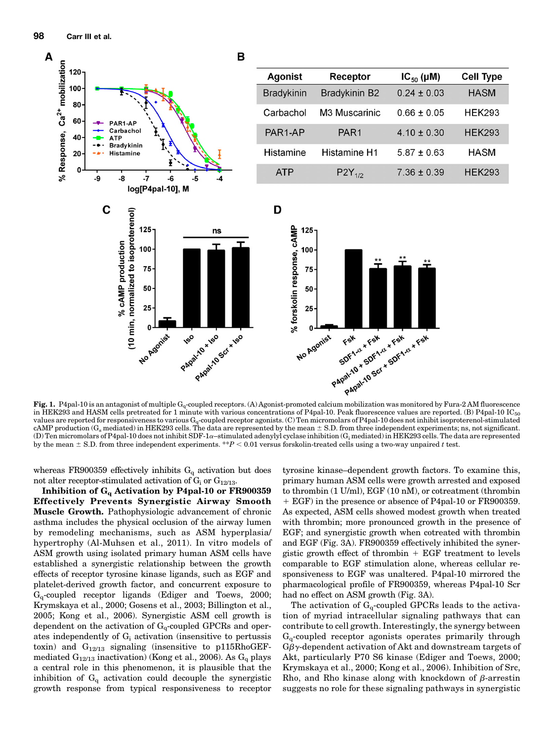

in HEK293 and HASM cells pretreated for 1 minute with various concentrations of P4pal-10. Peak fluorescence values are reported. (B) P4pal-10  $IC_{50}$ values are reported for responsiveness to various  $G_q$ -coupled receptor agonists. (C) Ten micromolars of P4pal-10 does not inhibit isoproterenol-stimulated cAMP production (G<sub>s</sub> mediated) in HEK293 cells. The data are represented by the mean  $\pm$  S.D. from three independent experiments; ns, not significant. (D) Ten micromolars of P4pal-10 does not inhibit SDF-1 $\alpha$ –stimulated adenylyl cyclase inhibition (G<sub>i</sub> mediated) in HEK293 cells. The data are represented by the mean  $\pm$  S.D. from three independent experiments. \*\*P < 0.01 versus forskolin-treated cells using a two-way unpaired t test.

whereas FR900359 effectively inhibits  $G_q$  activation but does not alter receptor-stimulated activation of  $G_i$  or  $G_{12/13}$ .

Inhibition of  $G_q$  Activation by P4pal-10 or FR900359 Effectively Prevents Synergistic Airway Smooth Muscle Growth. Pathophysiologic advancement of chronic asthma includes the physical occlusion of the airway lumen by remodeling mechanisms, such as ASM hyperplasia/ hypertrophy (Al-Muhsen et al., 2011). In vitro models of ASM growth using isolated primary human ASM cells have established a synergistic relationship between the growth effects of receptor tyrosine kinase ligands, such as EGF and platelet-derived growth factor, and concurrent exposure to  $G_q$ -coupled receptor ligands (Ediger and Toews, 2000; Krymskaya et al., 2000; Gosens et al., 2003; Billington et al., 2005; Kong et al., 2006). Synergistic ASM cell growth is dependent on the activation of  $G_q$ -coupled GPCRs and operates independently of  $G_i$  activation (insensitive to pertussis toxin) and  $G_{12/13}$  signaling (insensitive to p115RhoGEFmediated  $G_{12/13}$  inactivation) (Kong et al., 2006). As  $G_q$  plays a central role in this phenomenon, it is plausible that the inhibition of  $G_q$  activation could decouple the synergistic growth response from typical responsiveness to receptor

tyrosine kinase–dependent growth factors. To examine this, primary human ASM cells were growth arrested and exposed to thrombin (1 U/ml), EGF (10 nM), or cotreatment (thrombin 1 EGF) in the presence or absence of P4pal-10 or FR900359. As expected, ASM cells showed modest growth when treated with thrombin; more pronounced growth in the presence of EGF; and synergistic growth when cotreated with thrombin and EGF (Fig. 3A). FR900359 effectively inhibited the synergistic growth effect of thrombin  $+$  EGF treatment to levels comparable to EGF stimulation alone, whereas cellular responsiveness to EGF was unaltered. P4pal-10 mirrored the pharmacological profile of FR900359, whereas P4pal-10 Scr had no effect on ASM growth (Fig. 3A).

The activation of  $G_q$ -coupled GPCRs leads to the activation of myriad intracellular signaling pathways that can contribute to cell growth. Interestingly, the synergy between Gq-coupled receptor agonists operates primarily through  $G\beta\gamma$ -dependent activation of Akt and downstream targets of Akt, particularly P70 S6 kinase (Ediger and Toews, 2000; Krymskaya et al., 2000; Kong et al., 2006). Inhibition of Src, Rho, and Rho kinase along with knockdown of  $\beta$ -arrestin suggests no role for these signaling pathways in synergistic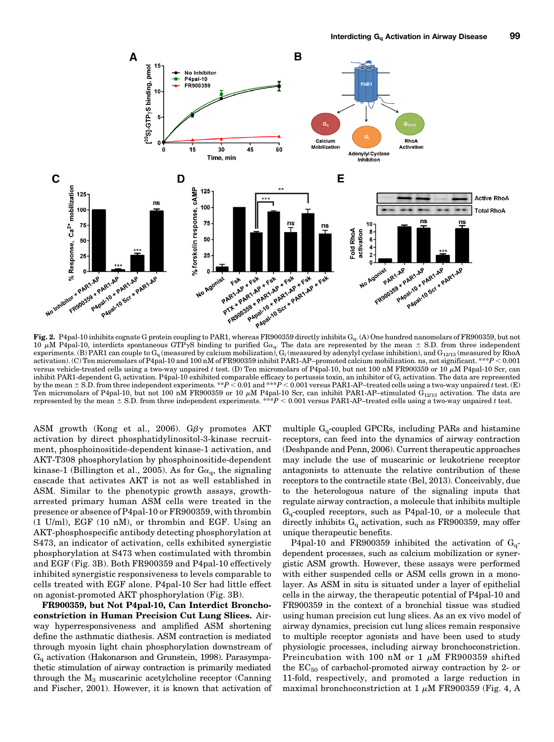

10 µM P4pal-10, interdicts spontaneous GTPyS binding to purified Ga<sub>q</sub>. The data are represented by the mean ± S.D. from three independent<br>experiments. (B) PAR1 can couple to G<sub>q</sub> (measured by calcium mobilization), G<sub>i</sub> activation). (C) Ten micromolars of P4pal-10 and 100 nM of FR900359 inhibit PAR1-AP–promoted calcium mobilization. ns, not significant. \*\*\*P < 0.001 versus vehicle-treated cells using a two-way unpaired t test. (D) Ten micromolars of P4pal-10, but not 100 nM FR900359 or 10  $\mu$ M P4pal-10 Scr, can inhibit PAR1-dependent G<sub>i</sub> activation. P4pal-10 exhibited comparable efficacy to pertussis toxin, an inhibitor of G<sub>i</sub> activation. The data are represented<br>by the mean ± S.D. from three independent experiments. \*\*P < 0.0 Ten micromolars of P4pal-10, but not 100 nM FR900359 or 10  $\mu$ M P4pal-10 Scr, can inhibit PAR1-AP–stimulated  $\dot{G}_{12/13}$  activation. The data are represented by the mean  $\pm$  S.D. from three independent experiments. \*\*\*P < 0.001 versus PAR1-AP–treated cells using a two-way unpaired t test.

ASM growth (Kong et al., 2006).  $G\beta\gamma$  promotes AKT activation by direct phosphatidylinositol-3-kinase recruitment, phosphoinositide-dependent kinase-1 activation, and AKT-T308 phosphorylation by phosphoinositide-dependent kinase-1 (Billington et al., 2005). As for  $Ga_q$ , the signaling cascade that activates AKT is not as well established in ASM. Similar to the phenotypic growth assays, growtharrested primary human ASM cells were treated in the presence or absence of P4pal-10 or FR900359, with thrombin (1 U/ml), EGF (10 nM), or thrombin and EGF. Using an AKT-phosphospecific antibody detecting phosphorylation at S473, an indicator of activation, cells exhibited synergistic phosphorylation at S473 when costimulated with thrombin and EGF (Fig. 3B). Both FR900359 and P4pal-10 effectively inhibited synergistic responsiveness to levels comparable to cells treated with EGF alone. P4pal-10 Scr had little effect on agonist-promoted AKT phosphorylation (Fig. 3B).

FR900359, but Not P4pal-10, Can Interdict Bronchoconstriction in Human Precision Cut Lung Slices. Airway hyperresponsiveness and amplified ASM shortening define the asthmatic diathesis. ASM contraction is mediated through myosin light chain phosphorylation downstream of  $G<sub>q</sub>$  activation (Hakonarson and Grunstein, 1998). Parasympathetic stimulation of airway contraction is primarily mediated through the  $M_3$  muscarinic acetylcholine receptor (Canning and Fischer, 2001). However, it is known that activation of

multiple  $G_q$ -coupled GPCRs, including PARs and histamine receptors, can feed into the dynamics of airway contraction (Deshpande and Penn, 2006). Current therapeutic approaches may include the use of muscarinic or leukotriene receptor antagonists to attenuate the relative contribution of these receptors to the contractile state (Bel, 2013). Conceivably, due to the heterologous nature of the signaling inputs that regulate airway contraction, a molecule that inhibits multiple  $G_q$ -coupled receptors, such as P4pal-10, or a molecule that directly inhibits  $G_q$  activation, such as FR900359, may offer unique therapeutic benefits.

P4pal-10 and FR900359 inhibited the activation of  $G_q$ dependent processes, such as calcium mobilization or synergistic ASM growth. However, these assays were performed with either suspended cells or ASM cells grown in a monolayer. As ASM in situ is situated under a layer of epithelial cells in the airway, the therapeutic potential of P4pal-10 and FR900359 in the context of a bronchial tissue was studied using human precision cut lung slices. As an ex vivo model of airway dynamics, precision cut lung slices remain responsive to multiple receptor agonists and have been used to study physiologic processes, including airway bronchoconstriction. Preincubation with 100 nM or 1  $\mu$ M FR900359 shifted the  $EC_{50}$  of carbachol-promoted airway contraction by 2- or 11-fold, respectively, and promoted a large reduction in maximal bronchoconstriction at 1  $\mu$ M FR900359 (Fig. 4, A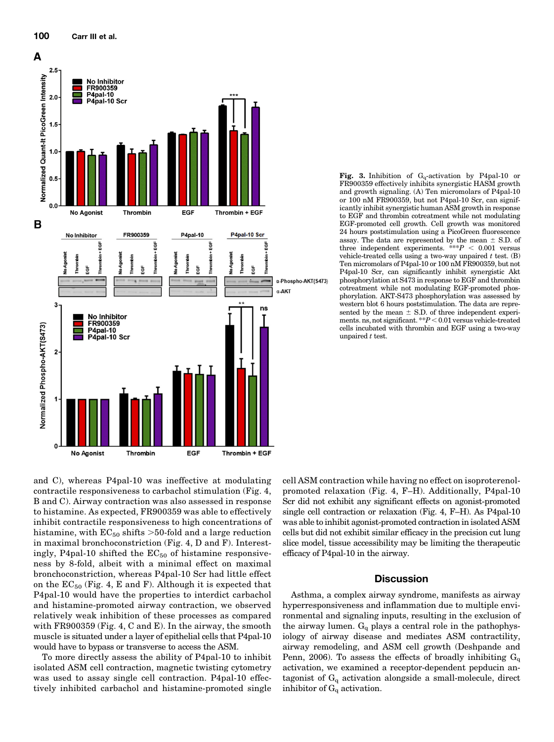

Fig. 3. Inhibition of  $G_0$ -activation by P4pal-10 or FR900359 effectively inhibits synergistic HASM growth and growth signaling. (A) Ten micromolars of P4pal-10 or 100 nM FR900359, but not P4pal-10 Scr, can significantly inhibit synergistic human ASM growth in response to EGF and thrombin cotreatment while not modulating EGF-promoted cell growth. Cell growth was monitored 24 hours poststimulation using a PicoGreen fluorescence assay. The data are represented by the mean  $\pm$  S.D. of three independent experiments. \*\*\* $P < 0.001$  versus vehicle-treated cells using a two-way unpaired  $t$  test. (B) Ten micromolars of P4pal-10 or 100 nM FR900359, but not P4pal-10 Scr, can significantly inhibit synergistic Akt phosphorylation at S473 in response to EGF and thrombin cotreatment while not modulating EGF-promoted phosphorylation. AKT-S473 phosphorylation was assessed by western blot 6 hours poststimulation. The data are represented by the mean  $\pm$  S.D. of three independent experiments. ns, not significant.  $*P < 0.01$  versus vehicle-treated cells incubated with thrombin and EGF using a two-way unpaired t test.

and C), whereas P4pal-10 was ineffective at modulating contractile responsiveness to carbachol stimulation (Fig. 4, B and C). Airway contraction was also assessed in response to histamine. As expected, FR900359 was able to effectively inhibit contractile responsiveness to high concentrations of histamine, with  $EC_{50}$  shifts >50-fold and a large reduction in maximal bronchoconstriction (Fig. 4, D and F). Interestingly, P4pal-10 shifted the  $EC_{50}$  of histamine responsiveness by 8-fold, albeit with a minimal effect on maximal bronchoconstriction, whereas P4pal-10 Scr had little effect on the  $EC_{50}$  (Fig. 4, E and F). Although it is expected that P4pal-10 would have the properties to interdict carbachol and histamine-promoted airway contraction, we observed relatively weak inhibition of these processes as compared with FR900359 (Fig. 4, C and E). In the airway, the smooth muscle is situated under a layer of epithelial cells that P4pal-10 would have to bypass or transverse to access the ASM.

To more directly assess the ability of P4pal-10 to inhibit isolated ASM cell contraction, magnetic twisting cytometry was used to assay single cell contraction. P4pal-10 effectively inhibited carbachol and histamine-promoted single

cell ASM contraction while having no effect on isoproterenolpromoted relaxation (Fig. 4, F–H). Additionally, P4pal-10 Scr did not exhibit any significant effects on agonist-promoted single cell contraction or relaxation (Fig. 4, F–H). As P4pal-10 was able to inhibit agonist-promoted contraction in isolated ASM cells but did not exhibit similar efficacy in the precision cut lung slice model, tissue accessibility may be limiting the therapeutic efficacy of P4pal-10 in the airway.

#### **Discussion**

Asthma, a complex airway syndrome, manifests as airway hyperresponsiveness and inflammation due to multiple environmental and signaling inputs, resulting in the exclusion of the airway lumen.  $G_q$  plays a central role in the pathophysiology of airway disease and mediates ASM contractility, airway remodeling, and ASM cell growth (Deshpande and Penn, 2006). To assess the effects of broadly inhibiting  $G_q$ activation, we examined a receptor-dependent pepducin antagonist of  $G_q$  activation alongside a small-molecule, direct inhibitor of  $G_q$  activation.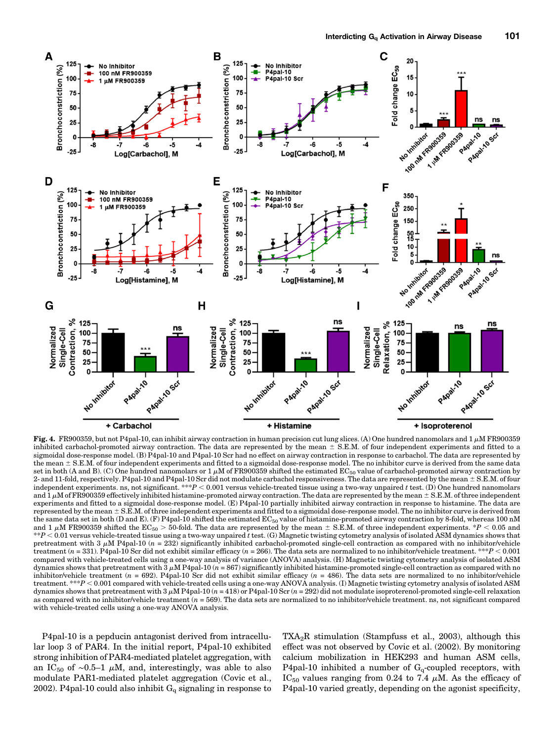

Fig. 4. FR900359, but not P4pal-10, can inhibit airway contraction in human precision cut lung slices. (A) One hundred nanomolars and 1  $\mu$ M FR900359 inhibited carbachol-promoted airway contraction. The data are represented by the mean  $\pm$  S.E.M. of four independent experiments and fitted to a sigmoidal dose-response model. (B) P4pal-10 and P4pal-10 Scr had no effect on airway contraction in response to carbachol. The data are represented by the mean  $\pm$  S.E.M. of four independent experiments and fitted to a sigmoidal dose-response model. The no inhibitor curve is derived from the same data set in both (A and B). (C) One hundred nanomolars or  $1 \mu$ M of FR900359 shifted the estimated EC<sub>50</sub> value of carbachol-promoted airway contraction by 2- and 11-fold, respectively. P4pal-10 and P4pal-10 Scr did not modulate carbachol responsiveness. The data are represented by the mean  $\pm$  S.E.M. of four independent experiments. ns, not significant. \*\*\*P < 0.001 versus vehicle-treated tissue using a two-way unpaired t test. (D) One hundred nanomolars and  $1 \mu$ M of FR900359 effectively inhibited histamine-promoted airway contraction. The data are represented by the mean  $\pm$  S.E.M. of three independent experiments and fitted to a sigmoidal dose-response model. (E) P4pal-10 partially inhibited airway contraction in response to histamine. The data are represented by the mean  $\pm$  S.E.M. of three independent experiments and fitted to a sigmoidal dose-response model. The no inhibitor curve is derived from the same data set in both (D and E). (F) P4pal-10 shifted the estimated EC<sub>50</sub> value of histamine-promoted airway contraction by 8-fold, whereas 100 nM and 1  $\mu$ M FR900359 shifted the EC<sub>50</sub> > 50-fold. The data are represented by the mean  $\pm$  S.E.M. of three independent experiments. \*P < 0.05 and<br>\*\*P < 0.01 versus vehicle-treated tissue using a two-way unpaired t test  $*P < 0.01$  versus vehicle-treated tissue using a two-way unpaired t test. (G) Magnetic twisting cytometry analysis of isolated ASM dynamics shows that pretreatment with 3  $\mu$ M P4pal-10 (n = 232) significantly inhibited carbachol-promoted single-cell contraction as compared with no inhibitor/vehicle treatment (n = 331). P4pal-10 Scr did not exhibit similar efficacy (n = 266). The data sets are normalized to no inhibitor/vehicle treatment. \*\*\*P < 0.001 compared with vehicle-treated cells using a one-way analysis of variance (ANOVA) analysis. (H) Magnetic twisting cytometry analysis of isolated ASM dynamics shows that pretreatment with  $3 \mu M$  P4pal-10 ( $n = 867$ ) significantly inhibited histamine-promoted single-cell contraction as compared with no inhibitor/vehicle treatment  $(n = 692)$ . P4pal-10 Scr did not exhibit similar efficacy  $(n = 486)$ . The data sets are normalized to no inhibitor/vehicle treatment. \*\*\* $P < 0.001$  compared with vehicle-treated cells using a one-way ANOVA analysis. (I) Magnetic twisting cytometry analysis of isolated ASM dynamics shows that pretreatment with  $3 \mu M$  P4pal-10 ( $n = 418$ ) or P4pal-10 Scr ( $n = 292$ ) did not modulate isoproterenol-promoted single-cell relaxation as compared with no inhibitor/vehicle treatment  $(n = 569)$ . The data sets are normalized to no inhibitor/vehicle treatment. ns, not significant compared with vehicle-treated cells using a one-way ANOVA analysis.

P4pal-10 is a pepducin antagonist derived from intracellular loop 3 of PAR4. In the initial report, P4pal-10 exhibited strong inhibition of PAR4-mediated platelet aggregation, with an IC<sub>50</sub> of ~0.5–1 µM, and, interestingly, was able to also modulate PAR1-mediated platelet aggregation (Covic et al., 2002). P4pal-10 could also inhibit  $G_q$  signaling in response to  $TXA<sub>2</sub>R$  stimulation (Stampfuss et al., 2003), although this effect was not observed by Covic et al. (2002). By monitoring calcium mobilization in HEK293 and human ASM cells, P4pal-10 inhibited a number of  $G_q$ -coupled receptors, with IC<sub>50</sub> values ranging from 0.24 to 7.4  $\mu$ M. As the efficacy of P4pal-10 varied greatly, depending on the agonist specificity,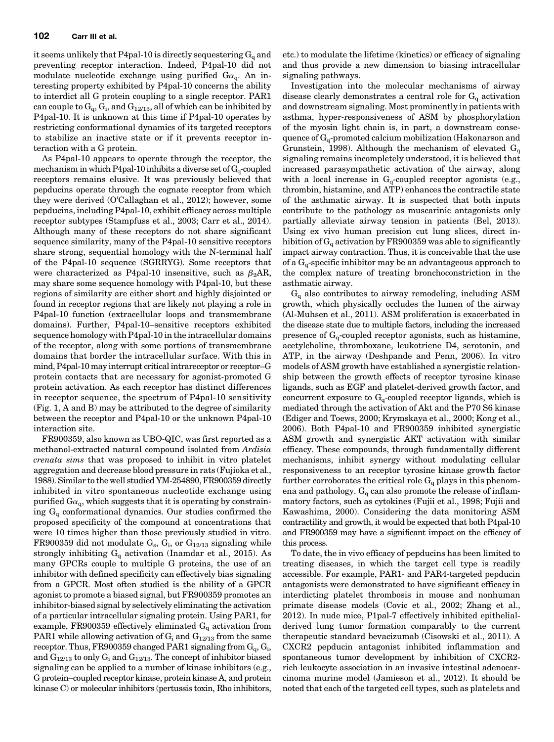it seems unlikely that P4pal-10 is directly sequestering  $G_q$  and preventing receptor interaction. Indeed, P4pal-10 did not modulate nucleotide exchange using purified  $Ga_{q}$ . An interesting property exhibited by P4pal-10 concerns the ability to interdict all G protein coupling to a single receptor. PAR1 can couple to  $G_q$ ,  $G_i$ , and  $G_{12/13}$ , all of which can be inhibited by P4pal-10. It is unknown at this time if P4pal-10 operates by restricting conformational dynamics of its targeted receptors to stabilize an inactive state or if it prevents receptor interaction with a G protein.

As P4pal-10 appears to operate through the receptor, the mechanism in which P4pal-10 inhibits a diverse set of  $G_q$ -coupled receptors remains elusive. It was previously believed that pepducins operate through the cognate receptor from which they were derived (O'Callaghan et al., 2012); however, some pepducins, including P4pal-10, exhibit efficacy across multiple receptor subtypes (Stampfuss et al., 2003; Carr et al., 2014). Although many of these receptors do not share significant sequence similarity, many of the P4pal-10 sensitive receptors share strong, sequential homology with the N-terminal half of the P4pal-10 sequence (SGRRYG). Some receptors that were characterized as P4pal-10 insensitive, such as  $\beta_2 AR$ , may share some sequence homology with P4pal-10, but these regions of similarity are either short and highly disjointed or found in receptor regions that are likely not playing a role in P4pal-10 function (extracellular loops and transmembrane domains). Further, P4pal-10–sensitive receptors exhibited sequence homology with P4pal-10 in the intracellular domains of the receptor, along with some portions of transmembrane domains that border the intracellular surface. With this in mind, P4pal-10 may interrupt critical intrareceptor or receptor–G protein contacts that are necessary for agonist-promoted G protein activation. As each receptor has distinct differences in receptor sequence, the spectrum of P4pal-10 sensitivity (Fig. 1, A and B) may be attributed to the degree of similarity between the receptor and P4pal-10 or the unknown P4pal-10 interaction site.

FR900359, also known as UBO-QIC, was first reported as a methanol-extracted natural compound isolated from Ardisia crenata sims that was proposed to inhibit in vitro platelet aggregation and decrease blood pressure in rats (Fujioka et al., 1988). Similar to the well studied YM-254890, FR900359 directly inhibited in vitro spontaneous nucleotide exchange using purified  $Ga<sub>0</sub>$ , which suggests that it is operating by constraining  $G_{q}$  conformational dynamics. Our studies confirmed the proposed specificity of the compound at concentrations that were 10 times higher than those previously studied in vitro. FR900359 did not modulate  $G_s$ ,  $G_i$ , or  $G_{12/13}$  signaling while strongly inhibiting  $G_q$  activation (Inamdar et al., 2015). As many GPCRs couple to multiple G proteins, the use of an inhibitor with defined specificity can effectively bias signaling from a GPCR. Most often studied is the ability of a GPCR agonist to promote a biased signal, but FR900359 promotes an inhibitor-biased signal by selectively eliminating the activation of a particular intracellular signaling protein. Using PAR1, for example, FR900359 effectively eliminated  $G_q$  activation from PAR1 while allowing activation of  $G_i$  and  $G_{12/13}$  from the same receptor. Thus, FR900359 changed PAR1 signaling from  $G_q$ ,  $G_i$ , and  $G_{12/13}$  to only  $G_i$  and  $G_{12/13}$ . The concept of inhibitor biased signaling can be applied to a number of kinase inhibitors (e.g., G protein–coupled receptor kinase, protein kinase A, and protein kinase C) or molecular inhibitors (pertussis toxin, Rho inhibitors,

etc.) to modulate the lifetime (kinetics) or efficacy of signaling and thus provide a new dimension to biasing intracellular signaling pathways.

Investigation into the molecular mechanisms of airway disease clearly demonstrates a central role for  $G_q$  activation and downstream signaling. Most prominently in patients with asthma, hyper-responsiveness of ASM by phosphorylation of the myosin light chain is, in part, a downstream consequence of  $G_q$ -promoted calcium mobilization (Hakonarson and Grunstein, 1998). Although the mechanism of elevated  $G<sub>o</sub>$ signaling remains incompletely understood, it is believed that increased parasympathetic activation of the airway, along with a local increase in  $G_q$ -coupled receptor agonists (e.g., thrombin, histamine, and ATP) enhances the contractile state of the asthmatic airway. It is suspected that both inputs contribute to the pathology as muscarinic antagonists only partially alleviate airway tension in patients (Bel, 2013). Using ex vivo human precision cut lung slices, direct inhibition of  $G_q$  activation by FR900359 was able to significantly impact airway contraction. Thus, it is conceivable that the use of a  $G<sub>q</sub>$ -specific inhibitor may be an advantageous approach to the complex nature of treating bronchoconstriction in the asthmatic airway.

 $G_{q}$  also contributes to airway remodeling, including ASM growth, which physically occludes the lumen of the airway (Al-Muhsen et al., 2011). ASM proliferation is exacerbated in the disease state due to multiple factors, including the increased presence of  $G_q$ -coupled receptor agonists, such as histamine, acetylcholine, thromboxane, leukotriene D4, serotonin, and ATP, in the airway (Deshpande and Penn, 2006). In vitro models of ASM growth have established a synergistic relationship between the growth effects of receptor tyrosine kinase ligands, such as EGF and platelet-derived growth factor, and concurrent exposure to  $G<sub>o</sub>$ -coupled receptor ligands, which is mediated through the activation of Akt and the P70 S6 kinase (Ediger and Toews, 2000; Krymskaya et al., 2000; Kong et al., 2006). Both P4pal-10 and FR900359 inhibited synergistic ASM growth and synergistic AKT activation with similar efficacy. These compounds, through fundamentally different mechanisms, inhibit synergy without modulating cellular responsiveness to an receptor tyrosine kinase growth factor further corroborates the critical role  $G_q$  plays in this phenomena and pathology.  $G_q$  can also promote the release of inflammatory factors, such as cytokines (Fujii et al., 1998; Fujii and Kawashima, 2000). Considering the data monitoring ASM contractility and growth, it would be expected that both P4pal-10 and FR900359 may have a significant impact on the efficacy of this process.

To date, the in vivo efficacy of pepducins has been limited to treating diseases, in which the target cell type is readily accessible. For example, PAR1- and PAR4-targeted pepducin antagonists were demonstrated to have significant efficacy in interdicting platelet thrombosis in mouse and nonhuman primate disease models (Covic et al., 2002; Zhang et al., 2012). In nude mice, P1pal-7 effectively inhibited epithelialderived lung tumor formation comparably to the current therapeutic standard bevacizumab (Cisowski et al., 2011). A CXCR2 pepducin antagonist inhibited inflammation and spontaneous tumor development by inhibition of CXCR2 rich leukocyte association in an invasive intestinal adenocarcinoma murine model (Jamieson et al., 2012). It should be noted that each of the targeted cell types, such as platelets and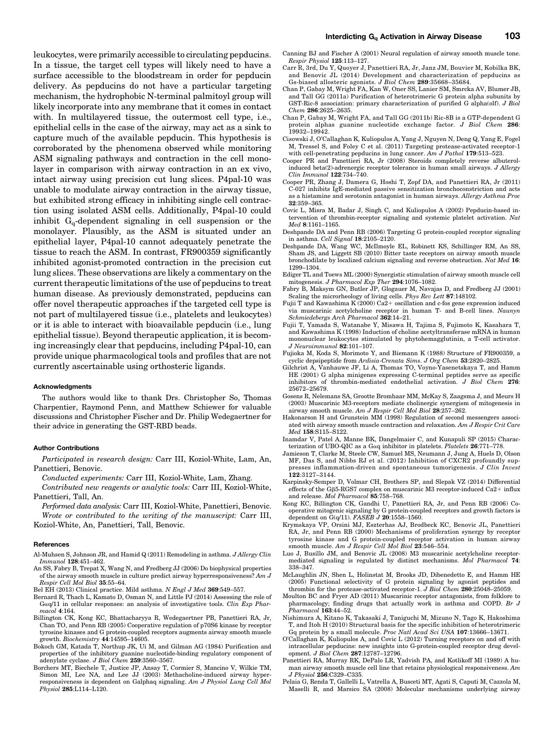leukocytes, were primarily accessible to circulating pepducins. In a tissue, the target cell types will likely need to have a surface accessible to the bloodstream in order for pepducin delivery. As pepducins do not have a particular targeting mechanism, the hydrophobic N-terminal palmitoyl group will likely incorporate into any membrane that it comes in contact with. In multilayered tissue, the outermost cell type, i.e., epithelial cells in the case of the airway, may act as a sink to capture much of the available pepducin. This hypothesis is corroborated by the phenomena observed while monitoring ASM signaling pathways and contraction in the cell monolayer in comparison with airway contraction in an ex vivo, intact airway using precision cut lung slices. P4pal-10 was unable to modulate airway contraction in the airway tissue, but exhibited strong efficacy in inhibiting single cell contraction using isolated ASM cells. Additionally, P4pal-10 could inhibit  $G_q$ -dependent signaling in cell suspension or the monolayer. Plausibly, as the ASM is situated under an epithelial layer, P4pal-10 cannot adequately penetrate the tissue to reach the ASM. In contrast, FR900359 significantly inhibited agonist-promoted contraction in the precision cut lung slices. These observations are likely a commentary on the current therapeutic limitations of the use of pepducins to treat human disease. As previously demonstrated, pepducins can offer novel therapeutic approaches if the targeted cell type is not part of multilayered tissue (i.e., platelets and leukocytes) or it is able to interact with bioavailable pepducin (i.e., lung epithelial tissue). Beyond therapeutic application, it is becoming increasingly clear that pepducins, including P4pal-10, can provide unique pharmacological tools and profiles that are not currently ascertainable using orthosteric ligands.

#### **Acknowledaments**

The authors would like to thank Drs. Christopher So, Thomas Charpentier, Raymond Penn, and Matthew Schiewer for valuable discussions and Christopher Fischer and Dr. Philip Wedegaertner for their advice in generating the GST-RBD beads.

#### Author Contributions

Participated in research design: Carr III, Koziol-White, Lam, An, Panettieri, Benovic.

Conducted experiments: Carr III, Koziol-White, Lam, Zhang.

Contributed new reagents or analytic tools: Carr III, Koziol-White, Panettieri, Tall, An.

Performed data analysis: Carr III, Koziol-White, Panettieri, Benovic. Wrote or contributed to the writing of the manuscript: Carr III, Koziol-White, An, Panettieri, Tall, Benovic.

#### **References**

- Al-Muhsen S, Johnson JR, and Hamid Q (2011) Remodeling in asthma. J Allergy Clin Immunol 128:451–462.
- An SS, Fabry B, Trepat X, Wang N, and Fredberg JJ (2006) Do biophysical properties of the airway smooth muscle in culture predict airway hyperresponsiveness? Am J Respir Cell Mol Biol 35:55–64.
- Bel EH (2013) Clinical practice. Mild asthma. N Engl J Med 369:549-557.
- Bernard R, Thach L, Kamato D, Osman N, and Little PJ (2014) Assessing the role of Gaq/11 in cellular responses: an analysis of investigative tools. Clin Exp Pharmacol 4:164.
- Billington CK, Kong KC, Bhattacharyya R, Wedegaertner PB, Panettieri RA, Jr, Chan TO, and Penn RB (2005) Cooperative regulation of p70S6 kinase by receptor tyrosine kinases and G protein-coupled receptors augments airway smooth muscle growth. Biochemistry 44:14595–14605.
- Bokoch GM, Katada T, Northup JK, Ui M, and Gilman AG (1984) Purification and properties of the inhibitory guanine nucleotide-binding regulatory component of adenylate cyclase. J Biol Chem 259:3560–3567.
- Borchers MT, Biechele T, Justice JP, Ansay T, Cormier S, Mancino V, Wilkie TM, Simon MI, Lee NA, and Lee JJ (2003) Methacholine-induced airway hyperresponsiveness is dependent on Galphaq signaling. Am J Physiol Lung Cell Mol Physiol 285:L114–L120.
- Canning BJ and Fischer A (2001) Neural regulation of airway smooth muscle tone. Respir Physiol 125:113–127.
- Carr R, 3rd, Du Y, Quoyer J, Panettieri RA, Jr, Janz JM, Bouvier M, Kobilka BK, and Benovic JL (2014) Development and characterization of pepducins as Gs-biased allosteric agonists. J Biol Chem 289:35668–35684.
- Chan P, Gabay M, Wright FA, Kan W, Oner SS, Lanier SM, Smrcka AV, Blumer JB, and Tall GG (2011a) Purification of heterotrimeric G protein alpha subunits by GST-Ric-8 association: primary characterization of purified G alpha(olf). J Biol Chem 286:2625–2635.
- Chan P, Gabay M, Wright FA, and Tall GG (2011b) Ric-8B is a GTP-dependent G protein alphas guanine nucleotide exchange factor. J Biol Chem 286: 19932–19942.
- Cisowski J, O'Callaghan K, Kuliopulos A, Yang J, Nguyen N, Deng Q, Yang E, Fogel M, Tressel S, and Foley C et al. (2011) Targeting protease-activated receptor-1 with cell-penetrating pepducins in lung cancer. Am J Pathol 179:513-523.
- Cooper PR and Panettieri RA, Jr (2008) Steroids completely reverse albuterolinduced beta(2)-adrenergic receptor tolerance in human small airways. J Allergy Clin Immunol 122:734–740.
- Cooper PR, Zhang J, Damera G, Hoshi T, Zopf DA, and Panettieri RA, Jr (2011) C-027 inhibits IgE-mediated passive sensitization bronchoconstriction and acts as a histamine and serotonin antagonist in human airways. Allergy Asthma Proc 32:359–365.
- Covic L, Misra M, Badar J, Singh C, and Kuliopulos A (2002) Pepducin-based intervention of thrombin-receptor signaling and systemic platelet activation. Nat Med 8:1161–1165.
- Deshpande DA and Penn RB (2006) Targeting G protein-coupled receptor signaling in asthma. Cell Signal 18:2105–2120.
- Deshpande DA, Wang WC, McIlmoyle EL, Robinett KS, Schillinger RM, An SS, Sham JS, and Liggett SB (2010) Bitter taste receptors on airway smooth muscle bronchodilate by localized calcium signaling and reverse obstruction. Nat Med 16: 1299–1304.
- Ediger TL and Toews ML (2000) Synergistic stimulation of airway smooth muscle cell mitogenesis. J Pharmacol Exp Ther 294:1076–1082.
- Fabry B, Maksym GN, Butler JP, Glogauer M, Navajas D, and Fredberg JJ (2001) Scaling the microrheology of living cells. Phys Rev Lett 87:148102.
- Fujii T and Kawashima K (2000) Ca2+ oscillation and c-fos gene expression induced via muscarinic acetylcholine receptor in human T- and B-cell lines. Naunyn Schmiedebergs Arch Pharmacol 362:14–21.
- Fujii T, Yamada S, Watanabe Y, Misawa H, Tajima S, Fujimoto K, Kasahara T, and Kawashima K (1998) Induction of choline acetyltransferase mRNA in human mononuclear leukocytes stimulated by phytohemagglutinin, a T-cell activator. J Neuroimmunol 82:101–107.
- Fujioka M, Koda S, Morimoto Y, and Biemann K (1988) Structure of FR900359, a cyclic depsipeptide from Ardisia-Crenata Sims. J Org Chem 53:2820–2825.
- Gilchrist A, Vanhauwe JF, Li A, Thomas TO, Voyno-Yasenetskaya T, and Hamm HE (2001) G alpha minigenes expressing C-terminal peptides serve as specific inhibitors of thrombin-mediated endothelial activation. J Biol Chem 276: 25672–25679.
- Gosens R, Nelemans SA, Grootte Bromhaar MM, McKay S, Zaagsma J, and Meurs H (2003) Muscarinic M3-receptors mediate cholinergic synergism of mitogenesis in airway smooth muscle. Am J Respir Cell Mol Biol 28:257–262.
- Hakonarson H and Grunstein MM (1998) Regulation of second messengers associated with airway smooth muscle contraction and relaxation. Am J Respir Crit Care Med 158:S115–S122.
- Inamdar V, Patel A, Manne BK, Dangelmaier C, and Kunapuli SP (2015) Characterization of UBO-QIC as a Gaq inhibitor in platelets. Platelets 26:771–778.
- Jamieson T, Clarke M, Steele CW, Samuel MS, Neumann J, Jung A, Huels D, Olson MF, Das S, and Nibbs RJ et al. (2012) Inhibition of CXCR2 profoundly suppresses inflammation-driven and spontaneous tumorigenesis. J Clin Invest  $\hat{1}22:3127 - 3144.$
- Karpinsky-Semper D, Volmar CH, Brothers SP, and Slepak VZ (2014) Differential effects of the GB5-RGS7 complex on muscarinic M3 receptor-induced Ca2+ influx and release. Mol Pharmacol 85:758–768.
- Kong KC, Billington CK, Gandhi U, Panettieri RA, Jr, and Penn RB (2006) Cooperative mitogenic signaling by G protein-coupled receptors and growth factors is dependent on  $G(q/11)$ . FASEB J 20:1558-1560.
- Krymskaya VP, Orsini MJ, Eszterhas AJ, Brodbeck KC, Benovic JL, Panettieri RA, Jr, and Penn RB (2000) Mechanisms of proliferation synergy by receptor tyrosine kinase and G protein-coupled receptor activation in human airway smooth muscle. Am J Respir Cell Mol Biol 23:546-554.
- Luo J, Busillo JM, and Benovic JL (2008) M3 muscarinic acetylcholine receptormediated signaling is regulated by distinct mechanisms. Mol Pharmacol 74: 338–347.
- McLaughlin JN, Shen L, Holinstat M, Brooks JD, Dibenedetto E, and Hamm HE (2005) Functional selectivity of G protein signaling by agonist peptides and thrombin for the protease-activated receptor-1. J Biol Chem 280:25048–25059.
- Moulton BC and Fryer AD (2011) Muscarinic receptor antagonists, from folklore to pharmacology; finding drugs that actually work in asthma and COPD. Br J Pharmacol 163:44–52.
- Nishimura A, Kitano K, Takasaki J, Taniguchi M, Mizuno N, Tago K, Hakoshima T, and Itoh H (2010) Structural basis for the specific inhibition of heterotrimeric Gq protein by a small molecule. Proc Natl Acad Sci USA 107:13666–13671.
- O'Callaghan K, Kuliopulos A, and Covic L (2012) Turning receptors on and off with intracellular pepducins: new insights into G-protein-coupled receptor drug development. J Biol Chem 287:12787–12796.
- Panettieri RA, Murray RK, DePalo LR, Yadvish PA, and Kotlikoff MI (1989) A human airway smooth muscle cell line that retains physiological responsiveness. Am J Physiol 256:C329-C335.
- Pelaia G, Renda T, Gallelli L, Vatrella A, Busceti MT, Agati S, Caputi M, Cazzola M, Maselli R, and Marsico SA (2008) Molecular mechanisms underlying airway